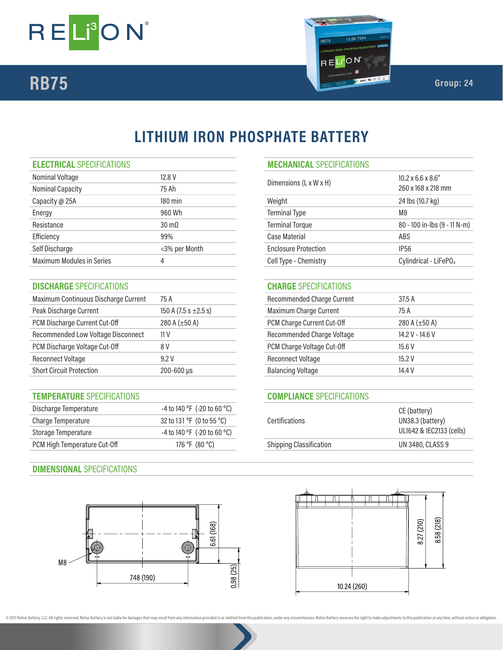



# **LITHIUM IRON PHOSPHATE BATTERY**

## **ELECTRICAL** SPECIFICATIONS **MECHANICAL** SPECIFICATIONS

| Nominal Voltage                  | 12.8 V               | $10.2 \times 6.6 \times 8.6$ "<br>Dimensions (L x W x H) |                        |  |
|----------------------------------|----------------------|----------------------------------------------------------|------------------------|--|
| <b>Nominal Capacity</b>          | 75 Ah                |                                                          | 260 x 168 x 218 mm     |  |
| Capacity @ 25A                   | $180$ min            | Weight                                                   | 24 lbs (10.7 kg)       |  |
| Energy                           | 960 Wh               | <b>Terminal Type</b>                                     | M <sub>8</sub>         |  |
| Resistance                       | $30 \text{ m}\Omega$ | <b>Terminal Torque</b>                                   | 80 - 100 in-lbs (9 - 1 |  |
| Efficiency                       | 99%                  | Case Material                                            | ABS                    |  |
| Self Discharge                   | <3% per Month        | <b>Enclosure Protection</b>                              | IP <sub>56</sub>       |  |
| <b>Maximum Modules in Series</b> |                      | Cell Type - Chemistry                                    | Cylindrical - LiFeP(   |  |
|                                  |                      |                                                          |                        |  |

# **DISCHARGE** SPECIFICATIONS **CHARGE** SPECIFICATIONS

| Maximum Continuous Discharge Current | 75 A                      |
|--------------------------------------|---------------------------|
| Peak Discharge Current               | 150 A (7.5 s $\pm$ 2.5 s) |
| PCM Discharge Current Cut-Off        | 280 A $(\pm 50$ A)        |
| Recommended Low Voltage Disconnect   | 11 V                      |
| PCM Discharge Voltage Cut-Off        | 8 V                       |
| <b>Reconnect Voltage</b>             | 9.2 V                     |
| <b>Short Circuit Protection</b>      | $200 - 600$ µs            |

## **TEMPERATURE** SPECIFICATIONS **COMPLIANCE** SPECIFICATIONS

| Discharge Temperature        | -4 to 140 °F (-20 to 60 °C)                 |                                | CE (battery)<br>UN38.3 (battery) |
|------------------------------|---------------------------------------------|--------------------------------|----------------------------------|
| Charge Temperature           | 32 to 131 $\degree$ F (0 to 55 $\degree$ C) | Certifications                 |                                  |
| Storage Temperature          | -4 to 140 °F (-20 to 60 °C)                 |                                | UL1642 & IEC2133                 |
| PCM High Temperature Cut-Off | 176 °F (80 °C)                              | <b>Shipping Classification</b> | <b>UN 3480, CLASS 9</b>          |

# **DIMENSIONAL** SPECIFICATIONS



# Terminal Type M8 Terminal Torque 30 - 100 in-lbs (9 - 11 N-m) Enclosure Protection **Enclosure Protection** Cell Type - Chemistry Cylindrical - LiFePO<sub>4</sub>

# Recommended Charge Current 37.5 A Maximum Charge Current 150 A 75 A PCM Charge Current Cut-Off 280 A (±50 A) Recommended Charge Voltage 14.2 V - 14.6 V PCM Charge Voltage Cut-Off 8 2 3 15.6 V Reconnect Voltage 15.2 V Balancing Voltage 14.4 V

| Certifications                 | CE (battery)<br>UN38.3 (battery)<br>UL1642 & IEC2133 (cells) |
|--------------------------------|--------------------------------------------------------------|
| <b>Shipping Classification</b> | <b>UN 3480, CLASS 9</b>                                      |
|                                |                                                              |



@ 2017 Relion Battery, LLC. All rights reserved. Relion Battery is not liable for damages that may result from any information provided in or omitted from this publication, under any circumstances. Relion Battery reserves